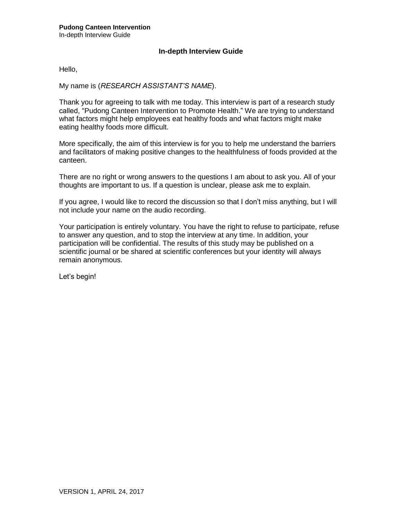# **In-depth Interview Guide**

Hello,

## My name is (*RESEARCH ASSISTANT'S NAME*).

Thank you for agreeing to talk with me today. This interview is part of a research study called, "Pudong Canteen Intervention to Promote Health." We are trying to understand what factors might help employees eat healthy foods and what factors might make eating healthy foods more difficult.

More specifically, the aim of this interview is for you to help me understand the barriers and facilitators of making positive changes to the healthfulness of foods provided at the canteen.

There are no right or wrong answers to the questions I am about to ask you. All of your thoughts are important to us. If a question is unclear, please ask me to explain.

If you agree, I would like to record the discussion so that I don't miss anything, but I will not include your name on the audio recording.

Your participation is entirely voluntary. You have the right to refuse to participate, refuse to answer any question, and to stop the interview at any time. In addition, your participation will be confidential. The results of this study may be published on a scientific journal or be shared at scientific conferences but your identity will always remain anonymous.

Let's begin!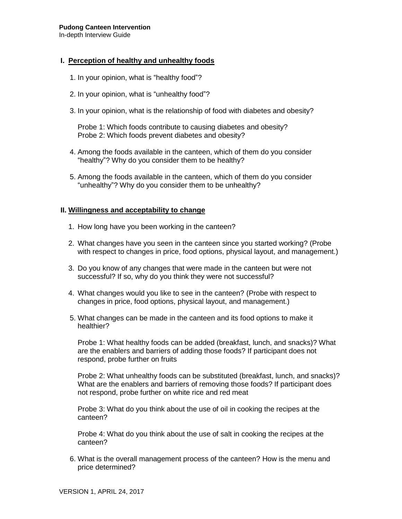# **I. Perception of healthy and unhealthy foods**

- 1. In your opinion, what is "healthy food"?
- 2. In your opinion, what is "unhealthy food"?
- 3. In your opinion, what is the relationship of food with diabetes and obesity?

Probe 1: Which foods contribute to causing diabetes and obesity? Probe 2: Which foods prevent diabetes and obesity?

- 4. Among the foods available in the canteen, which of them do you consider "healthy"? Why do you consider them to be healthy?
- 5. Among the foods available in the canteen, which of them do you consider "unhealthy"? Why do you consider them to be unhealthy?

## **II. Willingness and acceptability to change**

- 1. How long have you been working in the canteen?
- 2. What changes have you seen in the canteen since you started working? (Probe with respect to changes in price, food options, physical layout, and management.)
- 3. Do you know of any changes that were made in the canteen but were not successful? If so, why do you think they were not successful?
- 4. What changes would you like to see in the canteen? (Probe with respect to changes in price, food options, physical layout, and management.)
- 5. What changes can be made in the canteen and its food options to make it healthier?

Probe 1: What healthy foods can be added (breakfast, lunch, and snacks)? What are the enablers and barriers of adding those foods? If participant does not respond, probe further on fruits

Probe 2: What unhealthy foods can be substituted (breakfast, lunch, and snacks)? What are the enablers and barriers of removing those foods? If participant does not respond, probe further on white rice and red meat

Probe 3: What do you think about the use of oil in cooking the recipes at the canteen?

Probe 4: What do you think about the use of salt in cooking the recipes at the canteen?

6. What is the overall management process of the canteen? How is the menu and price determined?